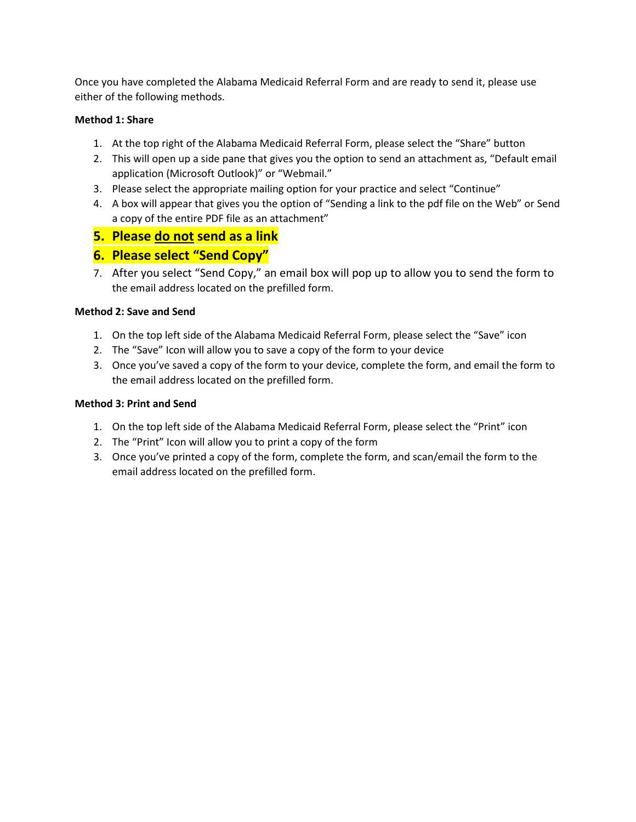Once you have completed the Alabama Medicaid Referral Form and are ready to send it, please use either of the following methods.

## **Method 1: Share**

- 1. At the top right of the Alabama Medicaid Referral Form, please select the "Share" button
- 2. This will open up a side pane that gives you the option to send an attachment as, "Default email application (Microsoft Outlook)" or "Webmail."
- 3. Please select the appropriate mailing option for your practice and select "Continue"
- 4. A box will appear that gives you the option of "Sending a link to the pdf file on the Web" or Send a copy of the entire PDF file as an attachment"
- **5. Please do not send as a link**

## **6. Please select "Send Copy"**

7. After you select "Send Copy," an email box will pop up to allow you to send the form to the email address located on the prefilled form.

## **Method 2: Save and Send**

- 1. On the top left side of the Alabama Medicaid Referral Form, please select the "Save" icon
- 2. The "Save" Icon will allow you to save a copy of the form to your device
- 3. Once you've saved a copy of the form to your device, complete the form, and email the form to the email address located on the prefilled form.

### **Method 3: Print and Send**

- 1. On the top left side of the Alabama Medicaid Referral Form, please select the "Print" icon
- 2. The "Print" Icon will allow you to print a copy of the form
- 3. Once you've printed a copy of the form, complete the form, and scan/email the form to the email address located on the prefilled form.